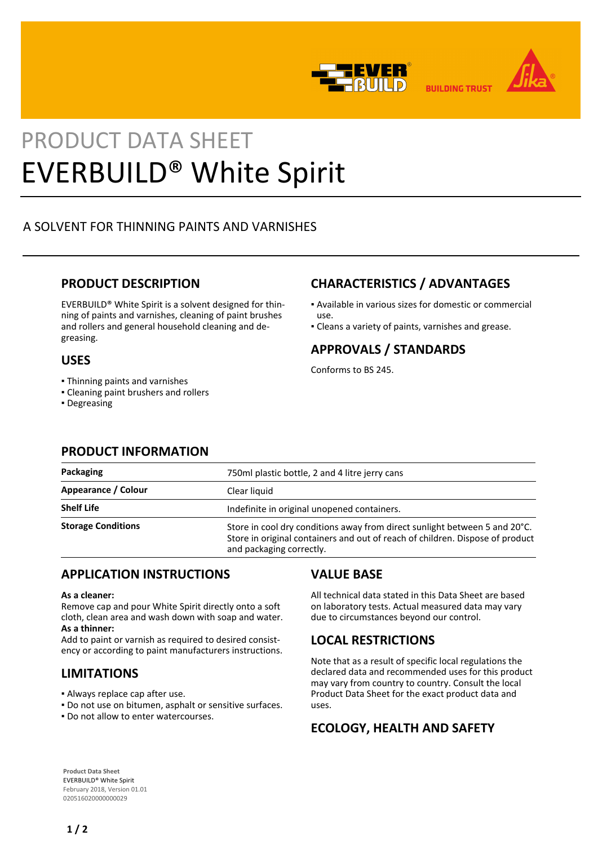



**BUILDING TRUST** 

# PRODUCT DATA SHEET EVERBUILD® White Spirit

## A SOLVENT FOR THINNING PAINTS AND VARNISHES

#### **PRODUCT DESCRIPTION**

EVERBUILD® White Spirit is a solvent designed for thinning of paints and varnishes, cleaning of paint brushes and rollers and general household cleaning and degreasing.

#### **USES**

- Thinning paints and varnishes
- Cleaning paint brushers and rollers
- Degreasing

## **CHARACTERISTICS / ADVANTAGES**

- Available in various sizes for domestic or commercial ▪
- Cleans a variety of paints, varnishes and grease.

#### **APPROVALS / STANDARDS**

Conforms to BS 245.

use.

#### **PRODUCT INFORMATION**

| Packaging                 | 750ml plastic bottle, 2 and 4 litre jerry cans                                                                                                                                          |
|---------------------------|-----------------------------------------------------------------------------------------------------------------------------------------------------------------------------------------|
| Appearance / Colour       | Clear liquid                                                                                                                                                                            |
| <b>Shelf Life</b>         | Indefinite in original unopened containers.                                                                                                                                             |
| <b>Storage Conditions</b> | Store in cool dry conditions away from direct sunlight between 5 and 20°C.<br>Store in original containers and out of reach of children. Dispose of product<br>and packaging correctly. |

#### **APPLICATION INSTRUCTIONS**

#### **As a cleaner:**

Remove cap and pour White Spirit directly onto a soft cloth, clean area and wash down with soap and water. **As a thinner:** 

Add to paint or varnish as required to desired consistency or according to paint manufacturers instructions.

#### **LIMITATIONS**

- Always replace cap after use.
- Do not use on bitumen, asphalt or sensitive surfaces.
- Do not allow to enter watercourses.

#### **VALUE BASE**

All technical data stated in this Data Sheet are based on laboratory tests. Actual measured data may vary due to circumstances beyond our control.

## **LOCAL RESTRICTIONS**

Note that as a result of specific local regulations the declared data and recommended uses for this product may vary from country to country. Consult the local Product Data Sheet for the exact product data and uses.

## **ECOLOGY, HEALTH AND SAFETY**

**Product Data Sheet** EVERBUILD® White Spirit February 2018, Version 01.01 020516020000000029